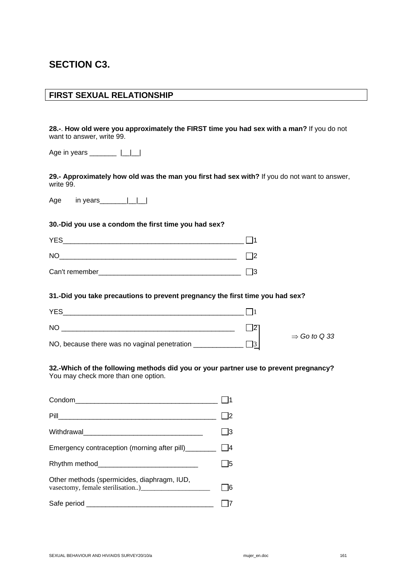# **SECTION C3.**

### **FIRST SEXUAL RELATIONSHIP**

**28.-**. **How old were you approximately the FIRST time you had sex with a man?** If you do not want to answer, write 99.

Age in years \_\_\_\_\_\_\_\_\_\_ |\_\_|\_\_|

**29.- Approximately how old was the man you first had sex with?** If you do not want to answer, write 99.

Age in years\_\_\_\_\_\_\_ $|$ 

### **30.-Did you use a condom the first time you had sex?**

| <b>YES</b>     |  |
|----------------|--|
| <b>NO</b>      |  |
| Can't remember |  |

#### **31.-Did you take precautions to prevent pregnancy the first time you had sex?**

| <b>YES</b>                                   |                          |  |
|----------------------------------------------|--------------------------|--|
| NO                                           |                          |  |
| NO, because there was no vaginal penetration | $\Rightarrow$ Go to Q 33 |  |

# **32.-Which of the following methods did you or your partner use to prevent pregnancy?**

You may check more than one option.

|                                             | 13   |
|---------------------------------------------|------|
|                                             |      |
|                                             | - 15 |
| Other methods (spermicides, diaphragm, IUD, |      |
|                                             |      |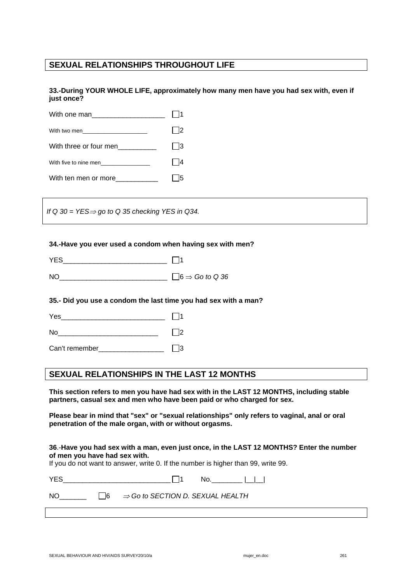## **SEXUAL RELATIONSHIPS THROUGHOUT LIFE**

**33.-During YOUR WHOLE LIFE, approximately how many men have you had sex with, even if just once?** 

| With two men ________________________ | l 12 |
|---------------------------------------|------|
| With three or four men                | 13   |
| With five to nine men                 |      |
| With ten men or more                  |      |

*If Q 30 = YES*⇒ *go to Q 35 checking YES in Q34.* 

#### **34.-Have you ever used a condom when having sex with men?**

| <b>YFS</b> |                                      |
|------------|--------------------------------------|
| <b>NO</b>  | $\exists$ 6 $\Rightarrow$ Go to Q 36 |

#### **35.- Did you use a condom the last time you had sex with a man?**

| $\sqrt{}$<br>$-1$ |  |
|-------------------|--|
|                   |  |

| N<br>- |  |
|--------|--|

Can't remember and  $\Box$ 3

### **SEXUAL RELATIONSHIPS IN THE LAST 12 MONTHS**

**This section refers to men you have had sex with in the LAST 12 MONTHS, including stable partners, casual sex and men who have been paid or who charged for sex.** 

**Please bear in mind that "sex" or "sexual relationships" only refers to vaginal, anal or oral penetration of the male organ, with or without orgasms.** 

#### **36**.-**Have you had sex with a man, even just once, in the LAST 12 MONTHS? Enter the number of men you have had sex with.**

If you do not want to answer, write 0. If the number is higher than 99, write 99.

| <b>YES</b> | No.                                                   |  |
|------------|-------------------------------------------------------|--|
| NO.        | $\Box$ 6 $\Rightarrow$ Go to SECTION D. SEXUAL HEALTH |  |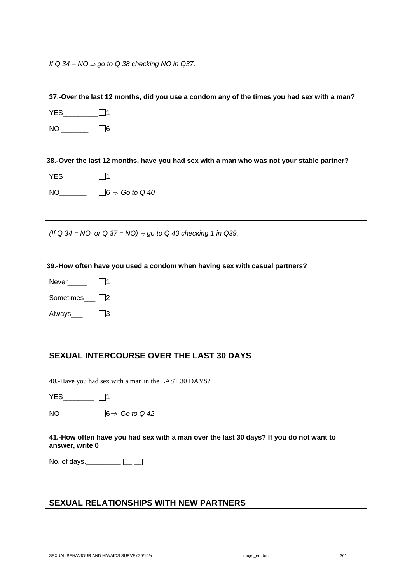*If* Q 34 = NO ⇒ go to Q 38 checking NO in Q37.

**37**.-**Over the last 12 months, did you use a condom any of the times you had sex with a man?** 

YES\_\_\_\_\_\_\_\_\_\_\_□1

 $NO$   $\qquad \qquad$   $\Box$ 6

**38.-Over the last 12 months, have you had sex with a man who was not your stable partner?** 

YES\_\_\_\_\_\_\_ □1

NO  $\Box 6 \Rightarrow$  Go to Q 40

*(If Q 34 = NO or Q 37 = NO)* <sup>⇒</sup> *go to Q 40 checking 1 in Q39.* 

#### **39.-How often have you used a condom when having sex with casual partners?**

Never $\Box$  1

Sometimes\_\_\_ 2

Always\_\_\_ <sup>13</sup>

## **SEXUAL INTERCOURSE OVER THE LAST 30 DAYS**

40.-Have you had sex with a man in the LAST 30 DAYS?

YES\_\_\_\_\_\_\_\_ □1

NO\_\_\_\_\_\_\_\_\_\_ 6⇒ *Go to Q 42* 

### **41.-How often have you had sex with a man over the last 30 days? If you do not want to answer, write 0**

No. of days.\_\_\_\_\_\_\_\_\_\_\_ |\_\_|\_\_|

### **SEXUAL RELATIONSHIPS WITH NEW PARTNERS**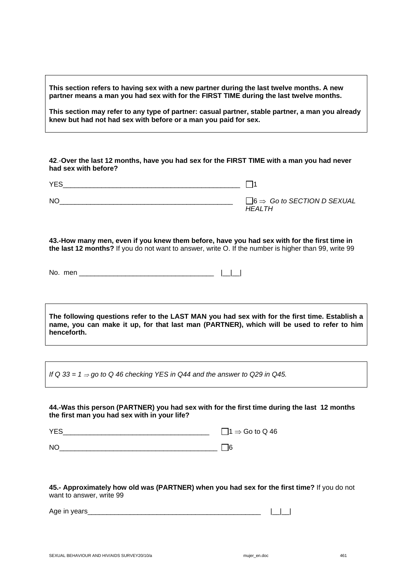**This section refers to having sex with a new partner during the last twelve months. A new partner means a man you had sex with for the FIRST TIME during the last twelve months.** 

**This section may refer to any type of partner: casual partner, stable partner, a man you already knew but had not had sex with before or a man you paid for sex.** 

**42**.-**Over the last 12 months, have you had sex for the FIRST TIME with a man you had never had sex with before?** 

 $YES$  and  $\Box$  1

 $N$ O<br> $\Box$ 6  $\Rightarrow$  Go to SECTION D SEXUAL *HEALTH*

**43.-How many men, even if you knew them before, have you had sex with for the first time in the last 12 months?** If you do not want to answer, write O. If the number is higher than 99, write 99

No. men \_\_\_\_\_\_\_\_\_\_\_\_\_\_\_\_\_\_\_\_\_\_\_\_\_\_\_\_\_\_\_\_\_\_\_ |\_\_|\_\_|

**The following questions refer to the LAST MAN you had sex with for the first time. Establish a name, you can make it up, for that last man (PARTNER), which will be used to refer to him henceforth.** 

*If Q 33 = 1* ⇒ *go to Q 46 checking YES in Q44 and the answer to Q29 in Q45.* 

#### **44.-Was this person (PARTNER) you had sex with for the first time during the last 12 months the first man you had sex with in your life?**

 $YES$   $1 \Rightarrow$  Go to Q 46

 $N$ O $\Box$ 

**45.- Approximately how old was (PARTNER) when you had sex for the first time?** If you do not want to answer, write 99

Age in years\_\_\_\_\_\_\_\_\_\_\_\_\_\_\_\_\_\_\_\_\_\_\_\_\_\_\_\_\_\_\_\_\_\_\_\_\_\_\_\_\_\_\_\_\_ |\_\_|\_\_|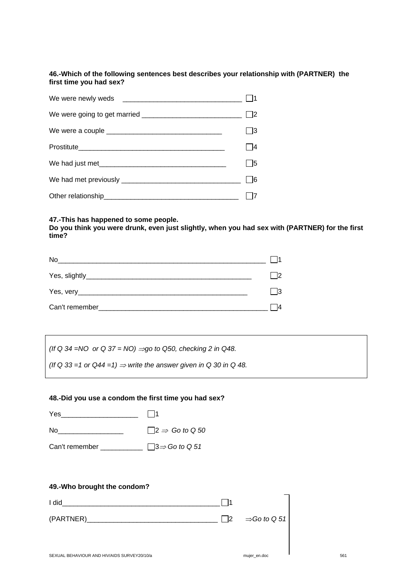### **46.-Which of the following sentences best describes your relationship with (PARTNER) the first time you had sex?**

| We had just met | - 15 |
|-----------------|------|
|                 |      |
|                 |      |

### **47.-This has happened to some people.**

**Do you think you were drunk, even just slightly, when you had sex with (PARTNER) for the first time?** 

| No             |               |
|----------------|---------------|
|                | $\mathsf{I2}$ |
|                | - 13          |
| Can't remember |               |

*(If Q 34 =NO or Q 37 = NO) ⇒go to Q50, checking 2 in Q48.* 

(If Q 33 = 1 or  $Q44 = 1$ )  $\Rightarrow$  write the answer given in Q 30 in Q 48.

### **48.-Did you use a condom the first time you had sex?**

| Yes            | $\vert$ 11                         |
|----------------|------------------------------------|
| No.            | $ 2 \Rightarrow$ Go to Q 50        |
| Can't remember | $\vert$ 3 $\Rightarrow$ Go to Q 51 |

### **49.-Who brought the condom?**

| I did      |                                   |
|------------|-----------------------------------|
| (PARTNER)_ | $\Box$ 2 $\Rightarrow$ Go to Q 51 |
|            |                                   |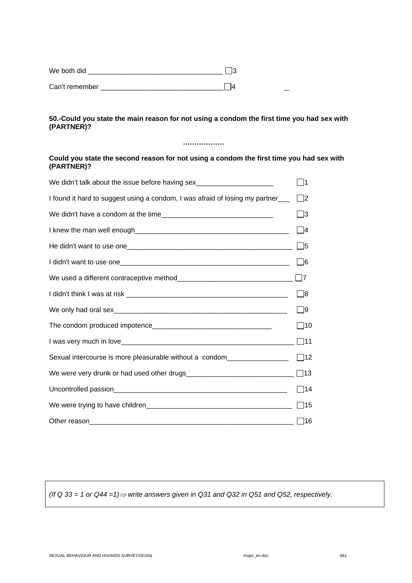| We both did    |  |
|----------------|--|
| Can't remember |  |

### **50.-Could you state the main reason for not using a condom the first time you had sex with (PARTNER)?**

### **………………**

### **Could you state the second reason for not using a condom the first time you had sex with (PARTNER)?**

| We didn't talk about the issue before having sex________________________________ | - 11              |
|----------------------------------------------------------------------------------|-------------------|
| I found it hard to suggest using a condom, I was afraid of losing my partner___  | $\Box$ 2          |
|                                                                                  | ヿ3                |
|                                                                                  | $\Box$ 4          |
|                                                                                  | $\Box$            |
|                                                                                  | $\vert$ $\vert$ 6 |
|                                                                                  | $\Box$ 7          |
|                                                                                  | $\Box$ 8          |
|                                                                                  | $\Box$ 9          |
|                                                                                  | $\square$ 10      |
|                                                                                  | $\square$ 11      |
| Sexual intercourse is more pleasurable without a condom_________________         | $\Box$ 12         |
|                                                                                  |                   |
|                                                                                  | $\Box$ 14         |
|                                                                                  | $\Box$ 15         |
|                                                                                  |                   |

*(If Q 33 = 1 or Q44 =1)*⇒ *write answers given in Q31 and Q32 in Q51 and Q52, respectively.*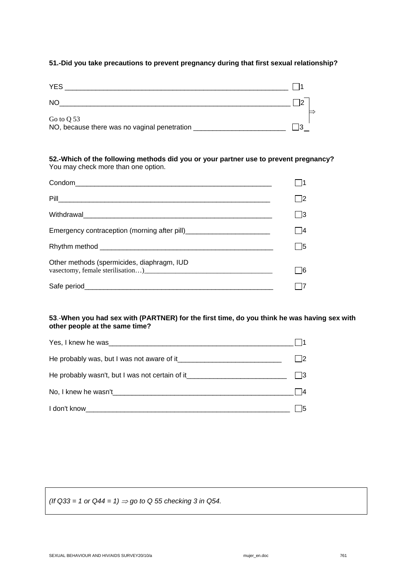### **51.-Did you take precautions to prevent pregnancy during that first sexual relationship?**

| <b>YES</b>                                                 |  |
|------------------------------------------------------------|--|
| <b>NO</b>                                                  |  |
| Go to Q 53<br>NO, because there was no vaginal penetration |  |

### **52.-Which of the following methods did you or your partner use to prevent pregnancy?**  You may check more than one option.

| Condom<br><u>Condom</u>                    |  |
|--------------------------------------------|--|
|                                            |  |
|                                            |  |
|                                            |  |
|                                            |  |
| Other methods (spermicides, diaphragm, IUD |  |
|                                            |  |

### **53**.-**When you had sex with (PARTNER) for the first time, do you think he was having sex with other people at the same time?**

| Yes, I knew he was a series of the series of the series of the series of the series of the series of the series                                                                                                                |    |
|--------------------------------------------------------------------------------------------------------------------------------------------------------------------------------------------------------------------------------|----|
|                                                                                                                                                                                                                                |    |
| He probably wasn't, but I was not certain of it_________________________________                                                                                                                                               |    |
| No, I knew he wasn't all the state of the state of the state of the state of the state of the state of the state of the state of the state of the state of the state of the state of the state of the state of the state of th | 14 |
| I don't know that the state of the state of the state of the state of the state of the state of the state of the state of the state of the state of the state of the state of the state of the state of the state of the state | 15 |

 $(lf Q33 = 1 \text{ or } Q44 = 1) \Rightarrow$  go to Q 55 checking 3 in Q54.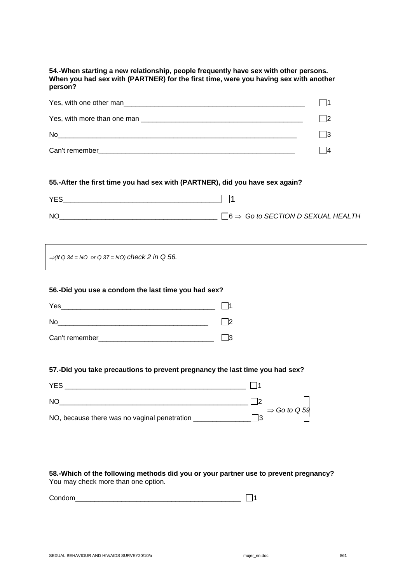**54.-When starting a new relationship, people frequently have sex with other persons. When you had sex with (PARTNER) for the first time, were you having sex with another person?** 

| Yes, with one other man<br><u> 1980 - Jan Barbara, martin da shekara tshirin 1980 - Andrew Standard Barbara, mashrida a shekara tshirin 198</u> |  |
|-------------------------------------------------------------------------------------------------------------------------------------------------|--|
| Yes, with more than one man                                                                                                                     |  |
| No                                                                                                                                              |  |
| Can't remember                                                                                                                                  |  |

### **55.-After the first time you had sex with (PARTNER), did you have sex again?**

| <b>YES</b> |                                                         |
|------------|---------------------------------------------------------|
| <b>NC</b>  | $\exists$ 6 $\Rightarrow$ Go to SECTION D SEXUAL HEALTH |

<sup>⇒</sup>*(If Q 34 = NO or Q 37 = NO) check 2 in Q 56.* 

#### **56.-Did you use a condom the last time you had sex?**

| Yes            |  |
|----------------|--|
| No             |  |
| Can't remember |  |

### **57.-Did you take precautions to prevent pregnancy the last time you had sex?**

| <b>YES</b>                                   |                          |
|----------------------------------------------|--------------------------|
| NO                                           |                          |
| NO, because there was no vaginal penetration | $\Rightarrow$ Go to Q 59 |

### **58.-Which of the following methods did you or your partner use to prevent pregnancy?**  You may check more than one option.

Condom\_\_\_\_\_\_\_\_\_\_\_\_\_\_\_\_\_\_\_\_\_\_\_\_\_\_\_\_\_\_\_\_\_\_\_\_\_\_\_\_\_\_\_ 1